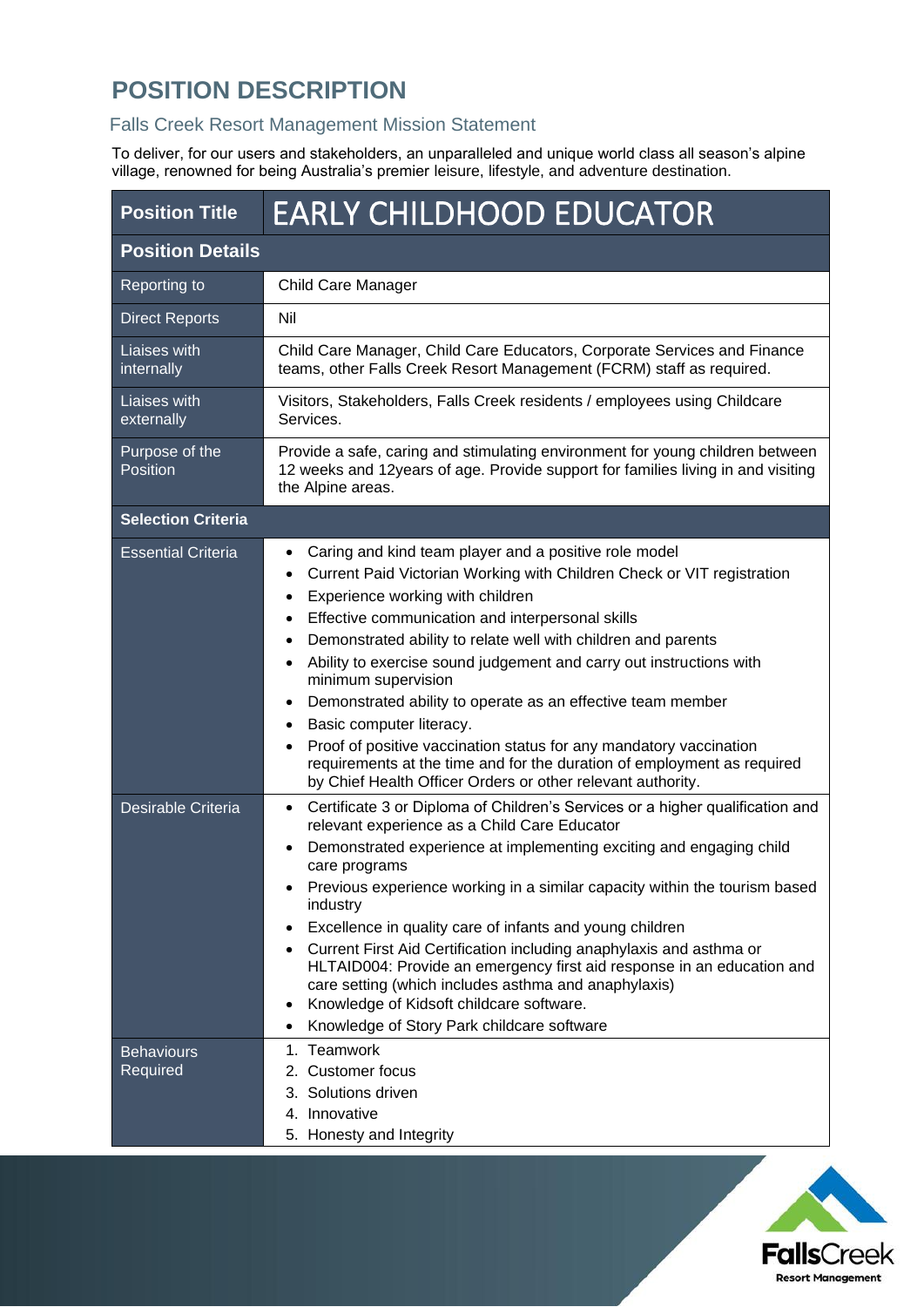# **POSITION DESCRIPTION**

### Falls Creek Resort Management Mission Statement

To deliver, for our users and stakeholders, an unparalleled and unique world class all season's alpine village, renowned for being Australia's premier leisure, lifestyle, and adventure destination.

| <b>Position Title</b>         | <b>EARLY CHILDHOOD EDUCATOR</b>                                                                                                                                                                                                                                                                                                                                                                                                                                                                                                                                                                                                                                                                   |  |  |
|-------------------------------|---------------------------------------------------------------------------------------------------------------------------------------------------------------------------------------------------------------------------------------------------------------------------------------------------------------------------------------------------------------------------------------------------------------------------------------------------------------------------------------------------------------------------------------------------------------------------------------------------------------------------------------------------------------------------------------------------|--|--|
| <b>Position Details</b>       |                                                                                                                                                                                                                                                                                                                                                                                                                                                                                                                                                                                                                                                                                                   |  |  |
| Reporting to                  | Child Care Manager                                                                                                                                                                                                                                                                                                                                                                                                                                                                                                                                                                                                                                                                                |  |  |
| <b>Direct Reports</b>         | Nil                                                                                                                                                                                                                                                                                                                                                                                                                                                                                                                                                                                                                                                                                               |  |  |
| Liaises with<br>internally    | Child Care Manager, Child Care Educators, Corporate Services and Finance<br>teams, other Falls Creek Resort Management (FCRM) staff as required.                                                                                                                                                                                                                                                                                                                                                                                                                                                                                                                                                  |  |  |
| Liaises with<br>externally    | Visitors, Stakeholders, Falls Creek residents / employees using Childcare<br>Services.                                                                                                                                                                                                                                                                                                                                                                                                                                                                                                                                                                                                            |  |  |
| Purpose of the<br>Position    | Provide a safe, caring and stimulating environment for young children between<br>12 weeks and 12years of age. Provide support for families living in and visiting<br>the Alpine areas.                                                                                                                                                                                                                                                                                                                                                                                                                                                                                                            |  |  |
| <b>Selection Criteria</b>     |                                                                                                                                                                                                                                                                                                                                                                                                                                                                                                                                                                                                                                                                                                   |  |  |
| <b>Essential Criteria</b>     | Caring and kind team player and a positive role model<br>Current Paid Victorian Working with Children Check or VIT registration<br>Experience working with children<br>Effective communication and interpersonal skills<br>Demonstrated ability to relate well with children and parents<br>Ability to exercise sound judgement and carry out instructions with<br>minimum supervision<br>Demonstrated ability to operate as an effective team member<br>Basic computer literacy.<br>Proof of positive vaccination status for any mandatory vaccination<br>requirements at the time and for the duration of employment as required<br>by Chief Health Officer Orders or other relevant authority. |  |  |
| Desirable Criteria            | Certificate 3 or Diploma of Children's Services or a higher qualification and<br>$\bullet$<br>relevant experience as a Child Care Educator<br>Demonstrated experience at implementing exciting and engaging child<br>care programs<br>Previous experience working in a similar capacity within the tourism based<br>industry<br>Excellence in quality care of infants and young children<br>Current First Aid Certification including anaphylaxis and asthma or<br>HLTAID004: Provide an emergency first aid response in an education and<br>care setting (which includes asthma and anaphylaxis)<br>Knowledge of Kidsoft childcare software.<br>Knowledge of Story Park childcare software       |  |  |
| <b>Behaviours</b><br>Required | 1. Teamwork<br>2. Customer focus<br>3. Solutions driven<br>4. Innovative<br>5. Honesty and Integrity                                                                                                                                                                                                                                                                                                                                                                                                                                                                                                                                                                                              |  |  |

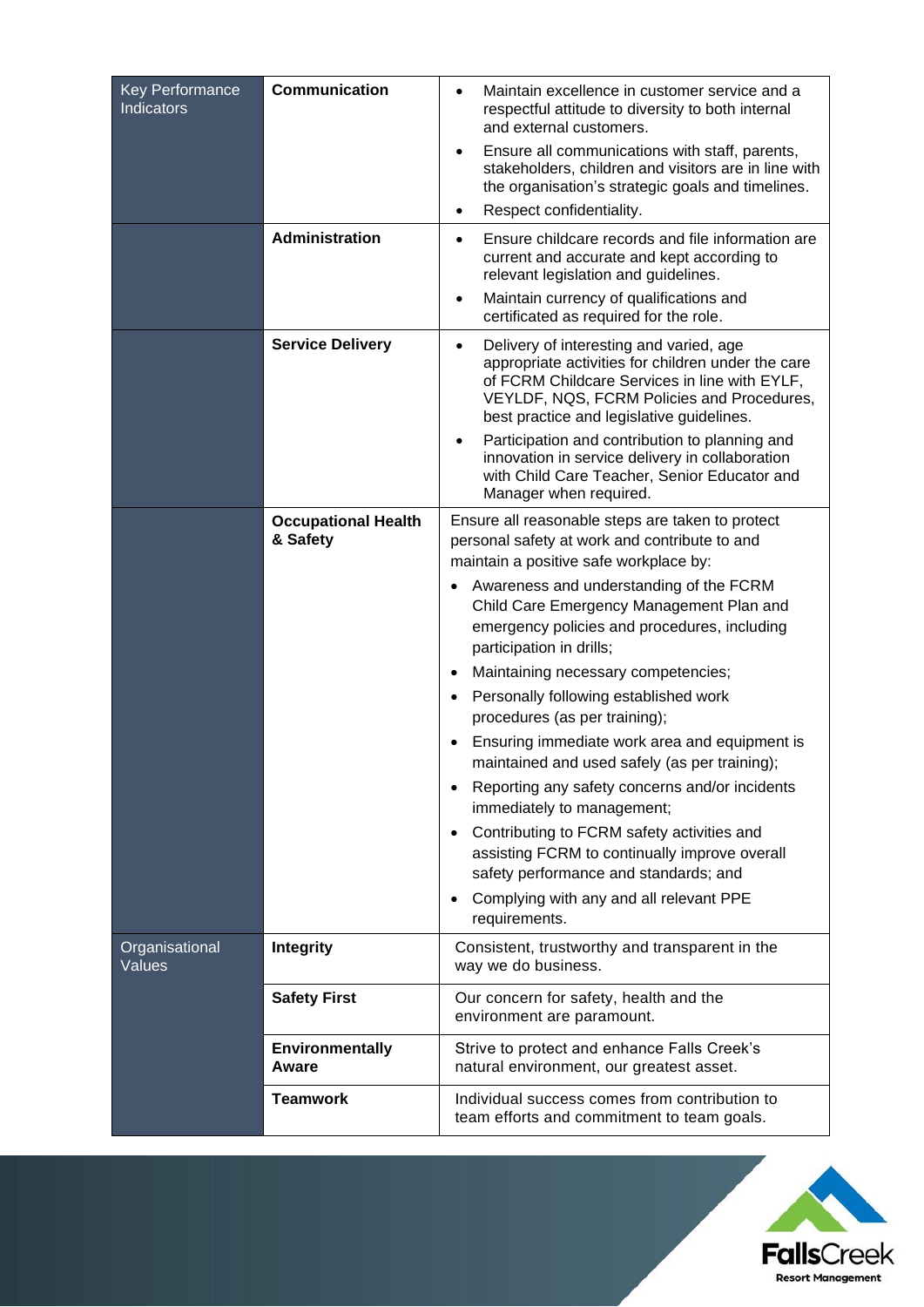| <b>Key Performance</b><br><b>Indicators</b> | <b>Communication</b>                   | Maintain excellence in customer service and a<br>$\bullet$<br>respectful attitude to diversity to both internal<br>and external customers.<br>Ensure all communications with staff, parents,<br>$\bullet$<br>stakeholders, children and visitors are in line with<br>the organisation's strategic goals and timelines.<br>Respect confidentiality.<br>$\bullet$                                                                                                                                                                                                                                                                                                                                                                                                                                                                                                                        |
|---------------------------------------------|----------------------------------------|----------------------------------------------------------------------------------------------------------------------------------------------------------------------------------------------------------------------------------------------------------------------------------------------------------------------------------------------------------------------------------------------------------------------------------------------------------------------------------------------------------------------------------------------------------------------------------------------------------------------------------------------------------------------------------------------------------------------------------------------------------------------------------------------------------------------------------------------------------------------------------------|
|                                             | <b>Administration</b>                  | Ensure childcare records and file information are<br>current and accurate and kept according to<br>relevant legislation and guidelines.<br>Maintain currency of qualifications and                                                                                                                                                                                                                                                                                                                                                                                                                                                                                                                                                                                                                                                                                                     |
|                                             | <b>Service Delivery</b>                | certificated as required for the role.<br>Delivery of interesting and varied, age<br>$\bullet$<br>appropriate activities for children under the care<br>of FCRM Childcare Services in line with EYLF,<br>VEYLDF, NQS, FCRM Policies and Procedures,<br>best practice and legislative guidelines.<br>Participation and contribution to planning and<br>$\bullet$<br>innovation in service delivery in collaboration<br>with Child Care Teacher, Senior Educator and<br>Manager when required.                                                                                                                                                                                                                                                                                                                                                                                           |
|                                             | <b>Occupational Health</b><br>& Safety | Ensure all reasonable steps are taken to protect<br>personal safety at work and contribute to and<br>maintain a positive safe workplace by:<br>Awareness and understanding of the FCRM<br>Child Care Emergency Management Plan and<br>emergency policies and procedures, including<br>participation in drills;<br>Maintaining necessary competencies;<br>$\bullet$<br>Personally following established work<br>$\bullet$<br>procedures (as per training);<br>Ensuring immediate work area and equipment is<br>maintained and used safely (as per training);<br>Reporting any safety concerns and/or incidents<br>$\bullet$<br>immediately to management;<br>Contributing to FCRM safety activities and<br>$\bullet$<br>assisting FCRM to continually improve overall<br>safety performance and standards; and<br>Complying with any and all relevant PPE<br>$\bullet$<br>requirements. |
| Organisational<br><b>Values</b>             | <b>Integrity</b>                       | Consistent, trustworthy and transparent in the<br>way we do business.                                                                                                                                                                                                                                                                                                                                                                                                                                                                                                                                                                                                                                                                                                                                                                                                                  |
|                                             | <b>Safety First</b>                    | Our concern for safety, health and the<br>environment are paramount.                                                                                                                                                                                                                                                                                                                                                                                                                                                                                                                                                                                                                                                                                                                                                                                                                   |
|                                             | <b>Environmentally</b><br>Aware        | Strive to protect and enhance Falls Creek's<br>natural environment, our greatest asset.                                                                                                                                                                                                                                                                                                                                                                                                                                                                                                                                                                                                                                                                                                                                                                                                |
|                                             | <b>Teamwork</b>                        | Individual success comes from contribution to<br>team efforts and commitment to team goals.                                                                                                                                                                                                                                                                                                                                                                                                                                                                                                                                                                                                                                                                                                                                                                                            |

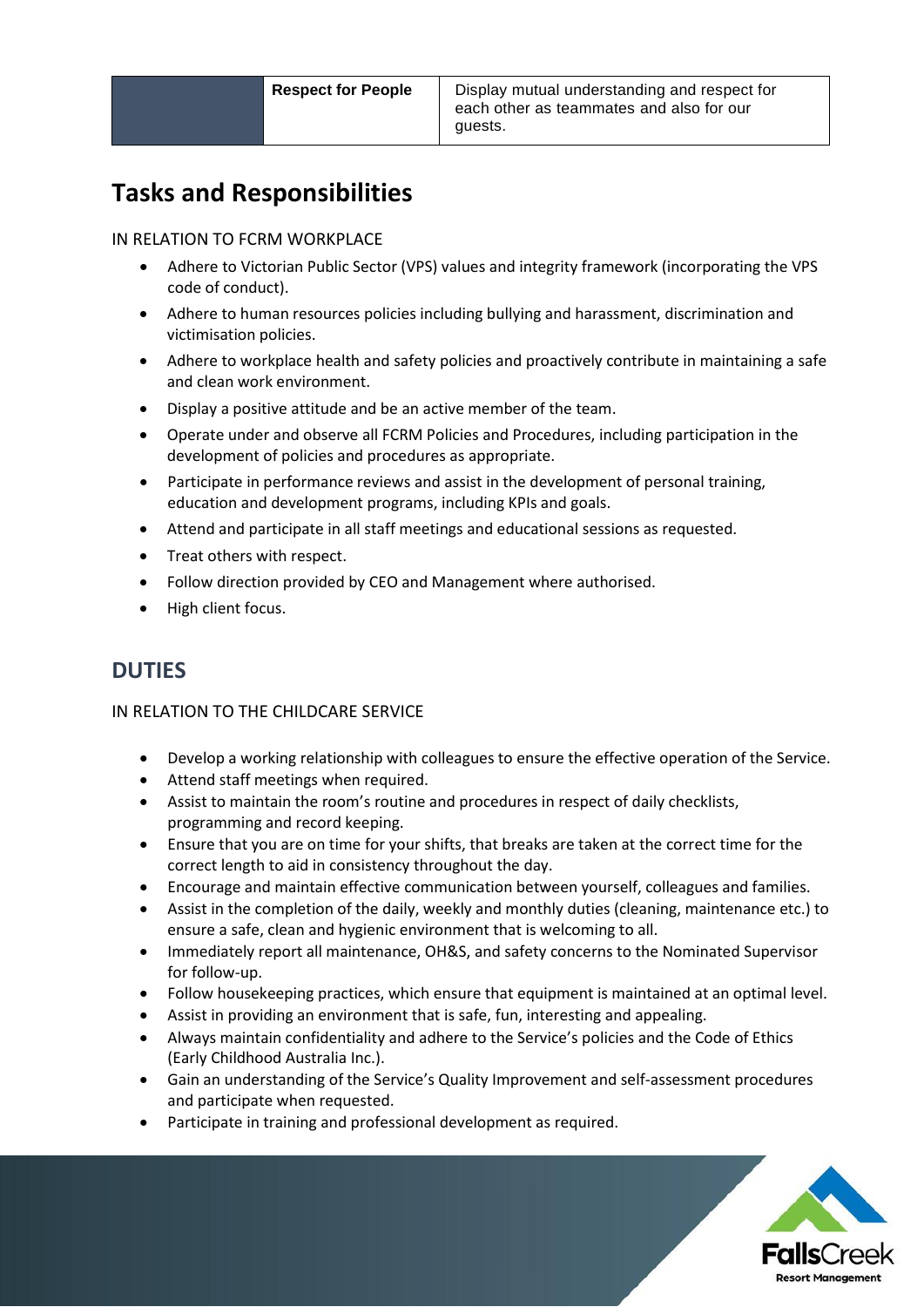## **Tasks and Responsibilities**

#### IN RELATION TO FCRM WORKPLACE

- Adhere to Victorian Public Sector (VPS) values and integrity framework (incorporating the VPS code of conduct).
- Adhere to human resources policies including bullying and harassment, discrimination and victimisation policies.
- Adhere to workplace health and safety policies and proactively contribute in maintaining a safe and clean work environment.
- Display a positive attitude and be an active member of the team.
- Operate under and observe all FCRM Policies and Procedures, including participation in the development of policies and procedures as appropriate.
- Participate in performance reviews and assist in the development of personal training, education and development programs, including KPIs and goals.
- Attend and participate in all staff meetings and educational sessions as requested.
- Treat others with respect.
- Follow direction provided by CEO and Management where authorised.
- High client focus.

### **DUTIES**

#### IN RELATION TO THE CHILDCARE SERVICE

- Develop a working relationship with colleagues to ensure the effective operation of the Service.
- Attend staff meetings when required.
- Assist to maintain the room's routine and procedures in respect of daily checklists, programming and record keeping.
- Ensure that you are on time for your shifts, that breaks are taken at the correct time for the correct length to aid in consistency throughout the day.
- Encourage and maintain effective communication between yourself, colleagues and families.
- Assist in the completion of the daily, weekly and monthly duties (cleaning, maintenance etc.) to ensure a safe, clean and hygienic environment that is welcoming to all.
- Immediately report all maintenance, OH&S, and safety concerns to the Nominated Supervisor for follow-up.
- Follow housekeeping practices, which ensure that equipment is maintained at an optimal level.
- Assist in providing an environment that is safe, fun, interesting and appealing.
- Always maintain confidentiality and adhere to the Service's policies and the Code of Ethics (Early Childhood Australia Inc.).
- Gain an understanding of the Service's Quality Improvement and self-assessment procedures and participate when requested.
- Participate in training and professional development as required.

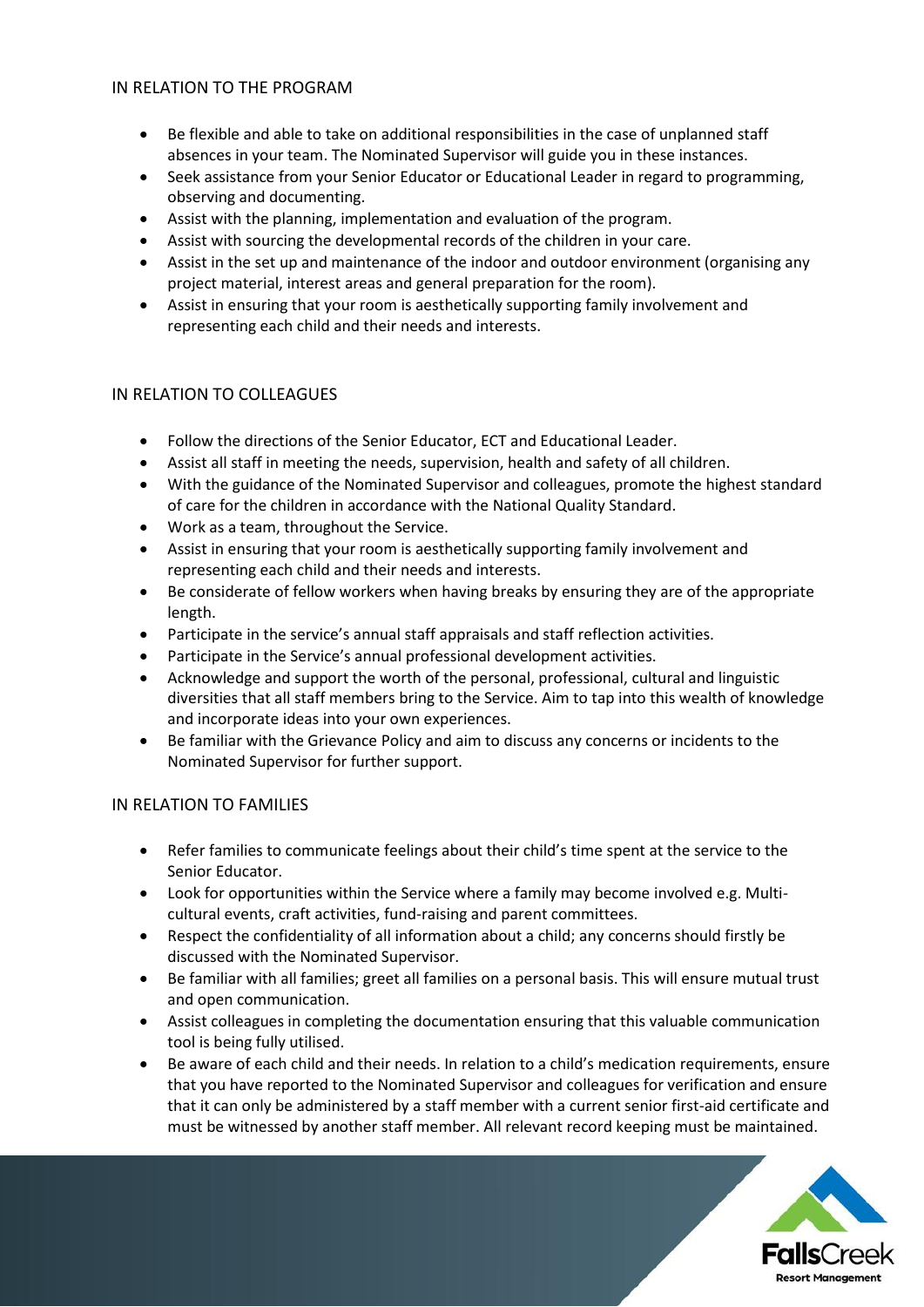#### IN RELATION TO THE PROGRAM

- Be flexible and able to take on additional responsibilities in the case of unplanned staff absences in your team. The Nominated Supervisor will guide you in these instances.
- Seek assistance from your Senior Educator or Educational Leader in regard to programming, observing and documenting.
- Assist with the planning, implementation and evaluation of the program.
- Assist with sourcing the developmental records of the children in your care.
- Assist in the set up and maintenance of the indoor and outdoor environment (organising any project material, interest areas and general preparation for the room).
- Assist in ensuring that your room is aesthetically supporting family involvement and representing each child and their needs and interests.

#### IN RELATION TO COLLEAGUES

- Follow the directions of the Senior Educator, ECT and Educational Leader.
- Assist all staff in meeting the needs, supervision, health and safety of all children.
- With the guidance of the Nominated Supervisor and colleagues, promote the highest standard of care for the children in accordance with the National Quality Standard.
- Work as a team, throughout the Service.
- Assist in ensuring that your room is aesthetically supporting family involvement and representing each child and their needs and interests.
- Be considerate of fellow workers when having breaks by ensuring they are of the appropriate length.
- Participate in the service's annual staff appraisals and staff reflection activities.
- Participate in the Service's annual professional development activities.
- Acknowledge and support the worth of the personal, professional, cultural and linguistic diversities that all staff members bring to the Service. Aim to tap into this wealth of knowledge and incorporate ideas into your own experiences.
- Be familiar with the Grievance Policy and aim to discuss any concerns or incidents to the Nominated Supervisor for further support.

#### IN RELATION TO FAMILIES

- Refer families to communicate feelings about their child's time spent at the service to the Senior Educator.
- Look for opportunities within the Service where a family may become involved e.g. Multicultural events, craft activities, fund-raising and parent committees.
- Respect the confidentiality of all information about a child; any concerns should firstly be discussed with the Nominated Supervisor.
- Be familiar with all families; greet all families on a personal basis. This will ensure mutual trust and open communication.
- Assist colleagues in completing the documentation ensuring that this valuable communication tool is being fully utilised.
- Be aware of each child and their needs. In relation to a child's medication requirements, ensure that you have reported to the Nominated Supervisor and colleagues for verification and ensure that it can only be administered by a staff member with a current senior first-aid certificate and must be witnessed by another staff member. All relevant record keeping must be maintained.